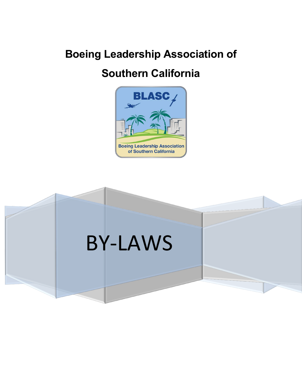# **Boeing Leadership Association of**

# **Southern California**



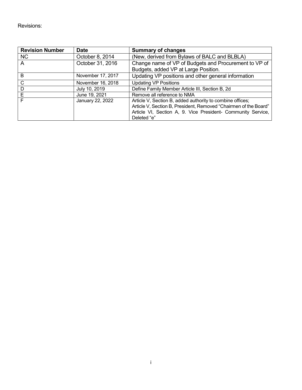Revisions:

| <b>Revision Number</b> | <b>Date</b>       | <b>Summary of changes</b>                                                                                                                                                                                    |
|------------------------|-------------------|--------------------------------------------------------------------------------------------------------------------------------------------------------------------------------------------------------------|
| <b>NC</b>              | October 8, 2014   | (New, derived from Bylaws of BALC and BLBLA)                                                                                                                                                                 |
| A                      | October 31, 2016  | Change name of VP of Budgets and Procurement to VP of<br>Budgets, added VP at Large Position.                                                                                                                |
| B                      | November 17, 2017 | Updating VP positions and other general information                                                                                                                                                          |
| C                      | November 16, 2018 | <b>Updating VP Positions</b>                                                                                                                                                                                 |
| D                      | July 10, 2019     | Define Family Member Article III, Section B, 2d                                                                                                                                                              |
| Е                      | June 19, 2021     | Remove all reference to NMA                                                                                                                                                                                  |
| F                      | January 22, 2022  | Article V, Section B, added authority to combine offices;<br>Article V, Section B, President, Removed "Chairmen of the Board"<br>Article VI, Section A, 9. Vice President- Community Service,<br>Deleted "e" |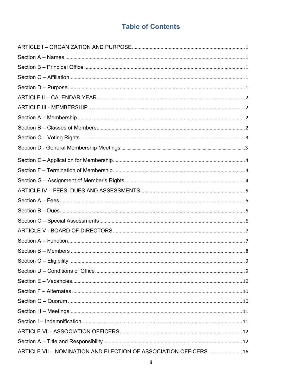# **Table of Contents**

| ARTICLE VII - NOMINATION AND ELECTION OF ASSOCIATION OFFICERS 16 |  |
|------------------------------------------------------------------|--|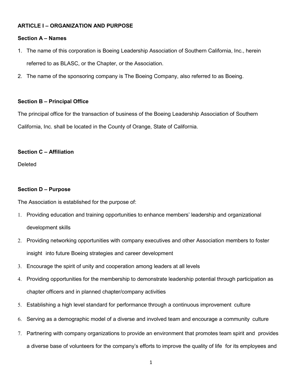# <span id="page-4-0"></span>**ARTICLE I – ORGANIZATION AND PURPOSE**

# <span id="page-4-1"></span>**Section A – Names**

- 1. The name of this corporation is Boeing Leadership Association of Southern California, Inc., herein referred to as BLASC, or the Chapter, or the Association.
- 2. The name of the sponsoring company is The Boeing Company, also referred to as Boeing.

# <span id="page-4-2"></span>**Section B – Principal Office**

The principal office for the transaction of business of the Boeing Leadership Association of Southern California, Inc. shall be located in the County of Orange, State of California.

# <span id="page-4-3"></span>**Section C – Affiliation**

**Deleted** 

# <span id="page-4-4"></span>**Section D – Purpose**

The Association is established for the purpose of:

- 1. Providing education and training opportunities to enhance members' leadership and organizational development skills
- 2. Providing networking opportunities with company executives and other Association members to foster insight into future Boeing strategies and career development
- 3. Encourage the spirit of unity and cooperation among leaders at all levels
- 4. Providing opportunities for the membership to demonstrate leadership potential through participation as chapter officers and in planned chapter/company activities
- 5. Establishing a high level standard for performance through a continuous improvement culture
- 6. Serving as a demographic model of a diverse and involved team and encourage a community culture
- 7. Partnering with company organizations to provide an environment that promotes team spirit and provides a diverse base of volunteers for the company's efforts to improve the quality of life for its employees and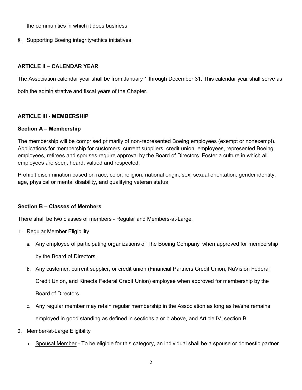the communities in which it does business

8. Supporting Boeing integrity/ethics initiatives.

# <span id="page-5-0"></span>**ARTICLE II – CALENDAR YEAR**

The Association calendar year shall be from January 1 through December 31. This calendar year shall serve as

both the administrative and fiscal years of the Chapter.

# <span id="page-5-1"></span>**ARTICLE III - MEMBERSHIP**

### <span id="page-5-2"></span>**Section A – Membership**

The membership will be comprised primarily of non-represented Boeing employees (exempt or nonexempt). Applications for membership for customers, current suppliers, credit union employees, represented Boeing employees, retirees and spouses require approval by the Board of Directors. Foster a culture in which all employees are seen, heard, valued and respected.

Prohibit discrimination based on race, color, religion, national origin, sex, sexual orientation, gender identity, age, physical or mental disability, and qualifying veteran status

# <span id="page-5-3"></span>**Section B – Classes of Members**

There shall be two classes of members - Regular and Members-at-Large.

- 1. Regular Member Eligibility
	- a. Any employee of participating organizations of The Boeing Company when approved for membership by the Board of Directors.
	- b. Any customer, current supplier, or credit union (Financial Partners Credit Union, NuVision Federal Credit Union, and Kinecta Federal Credit Union) employee when approved for membership by the Board of Directors.
	- c. Any regular member may retain regular membership in the Association as long as he/she remains employed in good standing as defined in sections a or b above, and Article IV, section B.
- 2. Member-at-Large Eligibility
	- a. Spousal Member To be eligible for this category, an individual shall be a spouse or domestic partner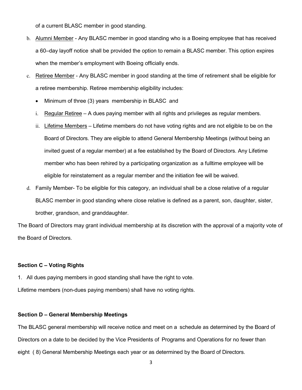of a current BLASC member in good standing.

- b. Alumni Member Any BLASC member in good standing who is a Boeing employee that has received a 60–day layoff notice shall be provided the option to remain a BLASC member. This option expires when the member's employment with Boeing officially ends.
- c. Retiree Member Any BLASC member in good standing at the time of retirement shall be eligible for a retiree membership. Retiree membership eligibility includes:
	- Minimum of three (3) years membership in BLASC and
	- i. Regular Retiree A dues paying member with all rights and privileges as regular members.
	- ii. Lifetime Members Lifetime members do not have voting rights and are not eligible to be on the Board of Directors. They are eligible to attend General Membership Meetings (without being an invited guest of a regular member) at a fee established by the Board of Directors. Any Lifetime member who has been rehired by a participating organization as a fulltime employee will be eligible for reinstatement as a regular member and the initiation fee will be waived.
- d. Family Member- To be eligible for this category, an individual shall be a close relative of a regular BLASC member in good standing where close relative is defined as a parent, son, daughter, sister, brother, grandson, and granddaughter.

The Board of Directors may grant individual membership at its discretion with the approval of a majority vote of the Board of Directors.

#### <span id="page-6-0"></span>**Section C – Voting Rights**

1. All dues paying members in good standing shall have the right to vote.

Lifetime members (non-dues paying members) shall have no voting rights.

#### **Section D – General Membership Meetings**

The BLASC general membership will receive notice and meet on a schedule as determined by the Board of Directors on a date to be decided by the Vice Presidents of Programs and Operations for no fewer than eight ( 8) General Membership Meetings each year or as determined by the Board of Directors.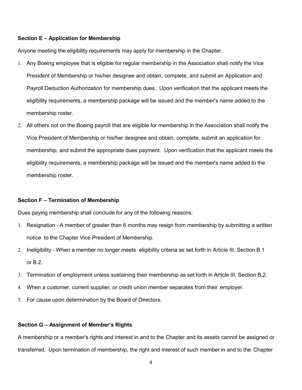#### <span id="page-7-0"></span>**Section E – Application for Membership**

Anyone meeting the eligibility requirements may apply for membership in the Chapter.

- 1. Any Boeing employee that is eligible for regular membership in the Association shall notify the Vice President of Membership or his/her designee and obtain, complete, and submit an Application and Payroll Deduction Authorization for membership dues. Upon verification that the applicant meets the eligibility requirements, a membership package will be issued and the member's name added to the membership roster.
- 2. All others not on the Boeing payroll that are eligible for membership in the Association shall notify the Vice President of Membership or his/her designee and obtain, complete, submit an application for membership, and submit the appropriate dues payment. Upon verification that the applicant meets the eligibility requirements, a membership package will be issued and the member's name added to the membership roster.

#### <span id="page-7-1"></span>**Section F – Termination of Membership**

Dues paying membership shall conclude for any of the following reasons:

- 1. Resignation A member of greater than 6 months may resign from membership by submitting a written notice to the Chapter Vice President of Membership.
- 2. Ineligibility When a member no longer meets eligibility criteria as set forth in Article III, Section B.1 or B.2.
- 3. Termination of employment unless sustaining their membership as set forth in Article III, Section B.2.
- 4. When a customer, current supplier, or credit union member separates from their employer.
- 5. For cause upon determination by the Board of Directors.

#### <span id="page-7-2"></span>**Section G – Assignment of Member's Rights**

A membership or a member's rights and interest in and to the Chapter and its assets cannot be assigned or transferred. Upon termination of membership, the right and interest of such member in and to the Chapter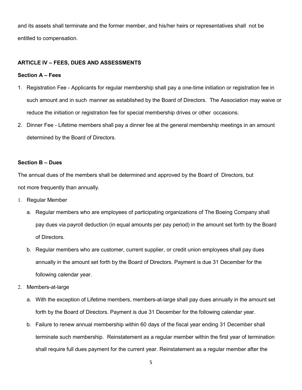and its assets shall terminate and the former member, and his/her heirs or representatives shall not be entitled to compensation.

#### <span id="page-8-0"></span>**ARTICLE IV – FEES, DUES AND ASSESSMENTS**

#### <span id="page-8-1"></span>**Section A – Fees**

- 1. Registration Fee Applicants for regular membership shall pay a one-time initiation or registration fee in such amount and in such manner as established by the Board of Directors. The Association may waive or reduce the initiation or registration fee for special membership drives or other occasions.
- 2. Dinner Fee Lifetime members shall pay a dinner fee at the general membership meetings in an amount determined by the Board of Directors.

#### <span id="page-8-2"></span>**Section B – Dues**

The annual dues of the members shall be determined and approved by the Board of Directors, but not more frequently than annually.

- 1. Regular Member
	- a. Regular members who are employees of participating organizations of The Boeing Company shall pay dues via payroll deduction (in equal amounts per pay period) in the amount set forth by the Board of Directors.
	- b. Regular members who are customer, current supplier, or credit union employees shall pay dues annually in the amount set forth by the Board of Directors. Payment is due 31 December for the following calendar year.
- 2. Members-at-large
	- a. With the exception of Lifetime members, members-at-large shall pay dues annually in the amount set forth by the Board of Directors. Payment is due 31 December for the following calendar year.
	- b. Failure to renew annual membership within 60 days of the fiscal year ending 31 December shall terminate such membership. Reinstatement as a regular member within the first year of termination shall require full dues payment for the current year. Reinstatement as a regular member after the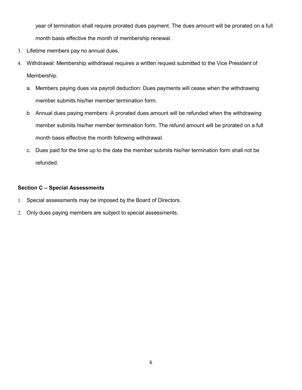year of termination shall require prorated dues payment. The dues amount will be prorated on a full month basis effective the month of membership renewal.

- 3. Lifetime members pay no annual dues.
- 4. Withdrawal: Membership withdrawal requires a written request submitted to the Vice President of Membership.
	- a. Members paying dues via payroll deduction: Dues payments will cease when the withdrawing member submits his/her member termination form.
	- b. Annual dues paying members: A prorated dues amount will be refunded when the withdrawing member submits his/her member termination form. The refund amount will be prorated on a full month basis effective the month following withdrawal.
	- c. Dues paid for the time up to the date the member submits his/her termination form shall not be refunded.

# <span id="page-9-0"></span>**Section C – Special Assessments**

- 1. Special assessments may be imposed by the Board of Directors.
- 2. Only dues paying members are subject to special assessments.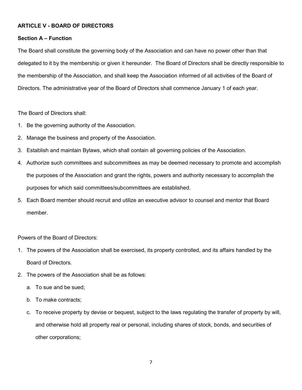# <span id="page-10-0"></span>**ARTICLE V - BOARD OF DIRECTORS**

#### <span id="page-10-1"></span>**Section A – Function**

The Board shall constitute the governing body of the Association and can have no power other than that delegated to it by the membership or given it hereunder. The Board of Directors shall be directly responsible to the membership of the Association, and shall keep the Association informed of all activities of the Board of Directors. The administrative year of the Board of Directors shall commence January 1 of each year.

The Board of Directors shall:

- 1. Be the governing authority of the Association.
- 2. Manage the business and property of the Association.
- 3. Establish and maintain Bylaws, which shall contain all governing policies of the Association.
- 4. Authorize such committees and subcommittees as may be deemed necessary to promote and accomplish the purposes of the Association and grant the rights, powers and authority necessary to accomplish the purposes for which said committees/subcommittees are established.
- 5. Each Board member should recruit and utilize an executive advisor to counsel and mentor that Board member.

Powers of the Board of Directors:

- 1. The powers of the Association shall be exercised, its property controlled, and its affairs handled by the Board of Directors.
- 2. The powers of the Association shall be as follows:
	- a. To sue and be sued;
	- b. To make contracts;
	- c. To receive property by devise or bequest, subject to the laws regulating the transfer of property by will, and otherwise hold all property real or personal, including shares of stock, bonds, and securities of other corporations;

7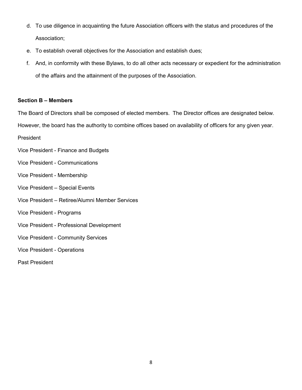- d. To use diligence in acquainting the future Association officers with the status and procedures of the Association;
- e. To establish overall objectives for the Association and establish dues;
- f. And, in conformity with these Bylaws, to do all other acts necessary or expedient for the administration of the affairs and the attainment of the purposes of the Association.

# <span id="page-11-0"></span>**Section B – Members**

The Board of Directors shall be composed of elected members. The Director offices are designated below.

However, the board has the authority to combine offices based on availability of officers for any given year.

President

- Vice President Finance and Budgets
- Vice President Communications
- Vice President Membership
- Vice President Special Events
- Vice President Retiree/Alumni Member Services
- Vice President Programs
- Vice President Professional Development
- Vice President Community Services
- Vice President Operations
- Past President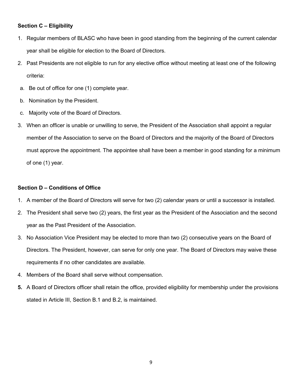# <span id="page-12-0"></span>**Section C – Eligibility**

- 1. Regular members of BLASC who have been in good standing from the beginning of the current calendar year shall be eligible for election to the Board of Directors.
- 2. Past Presidents are not eligible to run for any elective office without meeting at least one of the following criteria:
- a. Be out of office for one (1) complete year.
- b. Nomination by the President.
- c. Majority vote of the Board of Directors.
- 3. When an officer is unable or unwilling to serve, the President of the Association shall appoint a regular member of the Association to serve on the Board of Directors and the majority of the Board of Directors must approve the appointment. The appointee shall have been a member in good standing for a minimum of one (1) year.

# <span id="page-12-1"></span>**Section D – Conditions of Office**

- 1. A member of the Board of Directors will serve for two (2) calendar years or until a successor is installed.
- 2. The President shall serve two (2) years, the first year as the President of the Association and the second year as the Past President of the Association.
- 3. No Association Vice President may be elected to more than two (2) consecutive years on the Board of Directors. The President, however, can serve for only one year. The Board of Directors may waive these requirements if no other candidates are available.
- 4. Members of the Board shall serve without compensation.
- **5.** A Board of Directors officer shall retain the office, provided eligibility for membership under the provisions stated in Article III, Section B.1 and B.2, is maintained.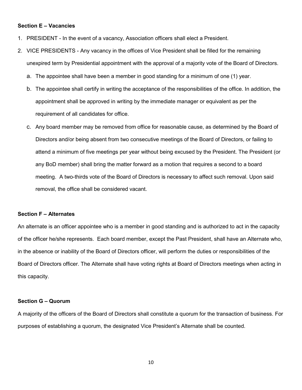#### <span id="page-13-0"></span>**Section E – Vacancies**

- 1. PRESIDENT In the event of a vacancy, Association officers shall elect a President.
- 2. VICE PRESIDENTS Any vacancy in the offices of Vice President shall be filled for the remaining unexpired term by Presidential appointment with the approval of a majority vote of the Board of Directors.
	- a. The appointee shall have been a member in good standing for a minimum of one (1) year.
	- b. The appointee shall certify in writing the acceptance of the responsibilities of the office. In addition, the appointment shall be approved in writing by the immediate manager or equivalent as per the requirement of all candidates for office.
	- c. Any board member may be removed from office for reasonable cause, as determined by the Board of Directors and/or being absent from two consecutive meetings of the Board of Directors, or failing to attend a minimum of five meetings per year without being excused by the President. The President (or any BoD member) shall bring the matter forward as a motion that requires a second to a board meeting. A two-thirds vote of the Board of Directors is necessary to affect such removal. Upon said removal, the office shall be considered vacant.

#### <span id="page-13-1"></span>**Section F – Alternates**

An alternate is an officer appointee who is a member in good standing and is authorized to act in the capacity of the officer he/she represents. Each board member, except the Past President, shall have an Alternate who, in the absence or inability of the Board of Directors officer, will perform the duties or responsibilities of the Board of Directors officer. The Alternate shall have voting rights at Board of Directors meetings when acting in this capacity.

#### <span id="page-13-2"></span>**Section G – Quorum**

A majority of the officers of the Board of Directors shall constitute a quorum for the transaction of business. For purposes of establishing a quorum, the designated Vice President's Alternate shall be counted.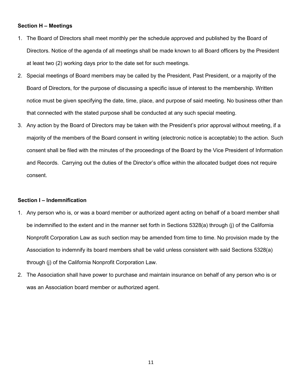#### <span id="page-14-0"></span>**Section H – Meetings**

- 1. The Board of Directors shall meet monthly per the schedule approved and published by the Board of Directors. Notice of the agenda of all meetings shall be made known to all Board officers by the President at least two (2) working days prior to the date set for such meetings.
- 2. Special meetings of Board members may be called by the President, Past President, or a majority of the Board of Directors, for the purpose of discussing a specific issue of interest to the membership. Written notice must be given specifying the date, time, place, and purpose of said meeting. No business other than that connected with the stated purpose shall be conducted at any such special meeting.
- 3. Any action by the Board of Directors may be taken with the President's prior approval without meeting, if a majority of the members of the Board consent in writing (electronic notice is acceptable) to the action. Such consent shall be filed with the minutes of the proceedings of the Board by the Vice President of Information and Records. Carrying out the duties of the Director's office within the allocated budget does not require consent.

#### <span id="page-14-1"></span>**Section I – Indemnification**

- 1. Any person who is, or was a board member or authorized agent acting on behalf of a board member shall be indemnified to the extent and in the manner set forth in Sections 5328(a) through (j) of the California Nonprofit Corporation Law as such section may be amended from time to time. No provision made by the Association to indemnify its board members shall be valid unless consistent with said Sections 5328(a) through (j) of the California Nonprofit Corporation Law.
- 2. The Association shall have power to purchase and maintain insurance on behalf of any person who is or was an Association board member or authorized agent.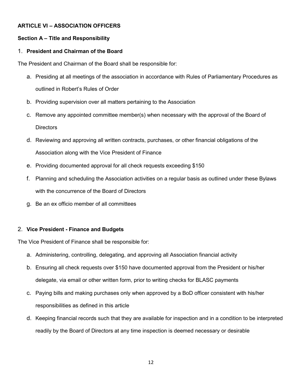# <span id="page-15-0"></span>**ARTICLE VI – ASSOCIATION OFFICERS**

# <span id="page-15-1"></span>**Section A – Title and Responsibility**

# 1. **President and Chairman of the Board**

The President and Chairman of the Board shall be responsible for:

- a. Presiding at all meetings of the association in accordance with Rules of Parliamentary Procedures as outlined in Robert's Rules of Order
- b. Providing supervision over all matters pertaining to the Association
- c. Remove any appointed committee member(s) when necessary with the approval of the Board of **Directors**
- d. Reviewing and approving all written contracts, purchases, or other financial obligations of the Association along with the Vice President of Finance
- e. Providing documented approval for all check requests exceeding \$150
- f. Planning and scheduling the Association activities on a regular basis as outlined under these Bylaws with the concurrence of the Board of Directors
- g. Be an ex officio member of all committees

#### 2. **Vice President - Finance and Budgets**

The Vice President of Finance shall be responsible for:

- a. Administering, controlling, delegating, and approving all Association financial activity
- b. Ensuring all check requests over \$150 have documented approval from the President or his/her delegate, via email or other written form, prior to writing checks for BLASC payments
- c. Paying bills and making purchases only when approved by a BoD officer consistent with his/her responsibilities as defined in this article
- d. Keeping financial records such that they are available for inspection and in a condition to be interpreted readily by the Board of Directors at any time inspection is deemed necessary or desirable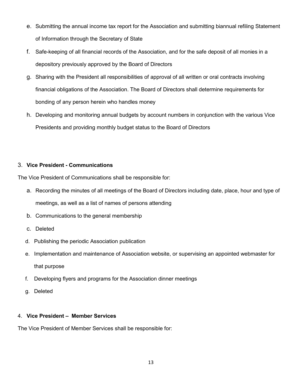- e. Submitting the annual income tax report for the Association and submitting biannual refiling Statement of Information through the Secretary of State
- f. Safe-keeping of all financial records of the Association, and for the safe deposit of all monies in a depository previously approved by the Board of Directors
- g. Sharing with the President all responsibilities of approval of all written or oral contracts involving financial obligations of the Association. The Board of Directors shall determine requirements for bonding of any person herein who handles money
- h. Developing and monitoring annual budgets by account numbers in conjunction with the various Vice Presidents and providing monthly budget status to the Board of Directors

# 3. **Vice President - Communications**

The Vice President of Communications shall be responsible for:

- a. Recording the minutes of all meetings of the Board of Directors including date, place, hour and type of meetings, as well as a list of names of persons attending
- b. Communications to the general membership
- c. Deleted
- d. Publishing the periodic Association publication
- e. Implementation and maintenance of Association website, or supervising an appointed webmaster for that purpose
- f. Developing flyers and programs for the Association dinner meetings
- g. Deleted

# 4. **Vice President – Member Services**

The Vice President of Member Services shall be responsible for: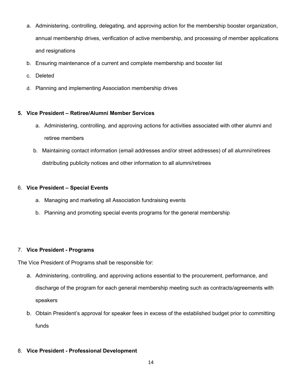- a. Administering, controlling, delegating, and approving action for the membership booster organization, annual membership drives, verification of active membership, and processing of member applications and resignations
- b. Ensuring maintenance of a current and complete membership and booster list
- c. Deleted
- d. Planning and implementing Association membership drives

# **5. Vice President – Retiree/Alumni Member Services**

- a. Administering, controlling, and approving actions for activities associated with other alumni and retiree members
- b. Maintaining contact information (email addresses and/or street addresses) of all alumni/retirees distributing publicity notices and other information to all alumni/retirees

# 6. **Vice President – Special Events**

- a. Managing and marketing all Association fundraising events
- b. Planning and promoting special events programs for the general membership

# 7. **Vice President - Programs**

The Vice President of Programs shall be responsible for:

- a. Administering, controlling, and approving actions essential to the procurement, performance, and discharge of the program for each general membership meeting such as contracts/agreements with speakers
- b. Obtain President's approval for speaker fees in excess of the established budget prior to committing funds

# 8. **Vice President - Professional Development**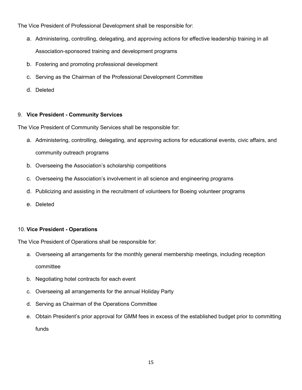The Vice President of Professional Development shall be responsible for:

- a. Administering, controlling, delegating, and approving actions for effective leadership training in all Association-sponsored training and development programs
- b. Fostering and promoting professional development
- c. Serving as the Chairman of the Professional Development Committee
- d. Deleted

# 9. **Vice President - Community Services**

The Vice President of Community Services shall be responsible for:

- a. Administering, controlling, delegating, and approving actions for educational events, civic affairs, and community outreach programs
- b. Overseeing the Association's scholarship competitions
- c. Overseeing the Association's involvement in all science and engineering programs
- d. Publicizing and assisting in the recruitment of volunteers for Boeing volunteer programs
- e. Deleted

# 10. **Vice President - Operations**

The Vice President of Operations shall be responsible for:

- a. Overseeing all arrangements for the monthly general membership meetings, including reception committee
- b. Negotiating hotel contracts for each event
- c. Overseeing all arrangements for the annual Holiday Party
- d. Serving as Chairman of the Operations Committee
- e. Obtain President's prior approval for GMM fees in excess of the established budget prior to committing funds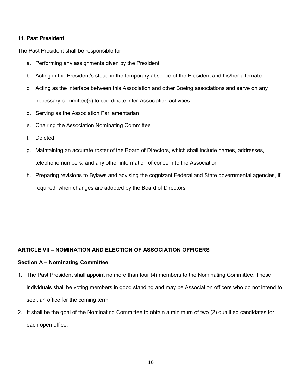## 11. **Past President**

The Past President shall be responsible for:

- a. Performing any assignments given by the President
- b. Acting in the President's stead in the temporary absence of the President and his/her alternate
- c. Acting as the interface between this Association and other Boeing associations and serve on any necessary committee(s) to coordinate inter-Association activities
- d. Serving as the Association Parliamentarian
- e. Chairing the Association Nominating Committee
- f. Deleted
- g. Maintaining an accurate roster of the Board of Directors, which shall include names, addresses, telephone numbers, and any other information of concern to the Association
- h. Preparing revisions to Bylaws and advising the cognizant Federal and State governmental agencies, if required, when changes are adopted by the Board of Directors

# <span id="page-19-0"></span>**ARTICLE VII – NOMINATION AND ELECTION OF ASSOCIATION OFFICERS**

#### <span id="page-19-1"></span>**Section A – Nominating Committee**

- 1. The Past President shall appoint no more than four (4) members to the Nominating Committee. These individuals shall be voting members in good standing and may be Association officers who do not intend to seek an office for the coming term.
- 2. It shall be the goal of the Nominating Committee to obtain a minimum of two (2) qualified candidates for each open office.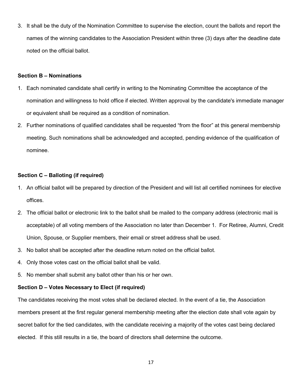3. It shall be the duty of the Nomination Committee to supervise the election, count the ballots and report the names of the winning candidates to the Association President within three (3) days after the deadline date noted on the official ballot.

#### <span id="page-20-0"></span>**Section B – Nominations**

- 1. Each nominated candidate shall certify in writing to the Nominating Committee the acceptance of the nomination and willingness to hold office if elected. Written approval by the candidate's immediate manager or equivalent shall be required as a condition of nomination.
- 2. Further nominations of qualified candidates shall be requested "from the floor" at this general membership meeting. Such nominations shall be acknowledged and accepted, pending evidence of the qualification of nominee.

#### <span id="page-20-1"></span>**Section C – Balloting (if required)**

- 1. An official ballot will be prepared by direction of the President and will list all certified nominees for elective offices.
- 2. The official ballot or electronic link to the ballot shall be mailed to the company address (electronic mail is acceptable) of all voting members of the Association no later than December 1. For Retiree, Alumni, Credit Union, Spouse, or Supplier members, their email or street address shall be used.
- 3. No ballot shall be accepted after the deadline return noted on the official ballot.
- 4. Only those votes cast on the official ballot shall be valid.
- 5. No member shall submit any ballot other than his or her own.

#### <span id="page-20-2"></span>**Section D – Votes Necessary to Elect (if required)**

The candidates receiving the most votes shall be declared elected. In the event of a tie, the Association members present at the first regular general membership meeting after the election date shall vote again by secret ballot for the tied candidates, with the candidate receiving a majority of the votes cast being declared elected. If this still results in a tie, the board of directors shall determine the outcome.